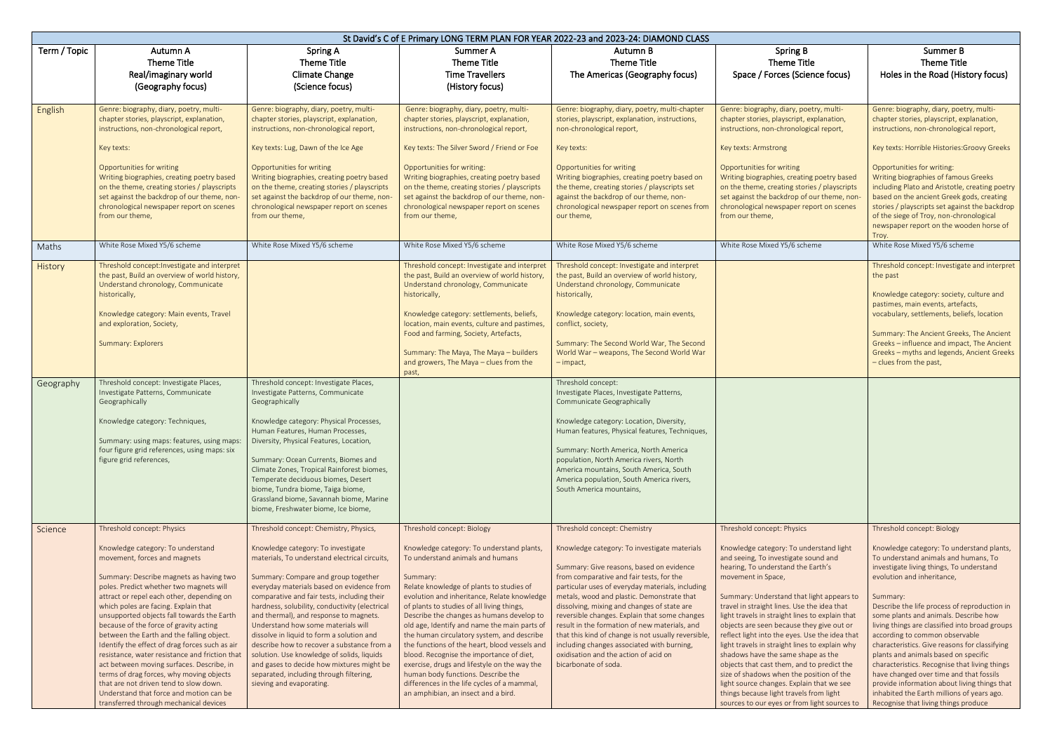| St David's C of E Primary LONG TERM PLAN FOR YEAR 2022-23 and 2023-24: DIAMOND CLASS |                                                                                                                                                                                                                                                                                                                                                                                                                                                                                                                                                                                                                                                                                                                                             |                                                                                                                                                                                                                                                                                                                                                                                                                                                                                                                                                                                                                                                                 |                                                                                                                                                                                                                                                                                                                                                                                                                                                                                                                                                                                                                                                                                      |                                                                                                                                                                                                                                                                                                                                                                                                                                                                                                                                                                                               |                                                                                                                                                                                                                                                                                                                                                                                                                                                                                                                                                                                                                                                                                                                                                   |                                                                                                                                                                                                                                                                                                                                                                                                                                                                                                                                                                                                                                                                                                               |
|--------------------------------------------------------------------------------------|---------------------------------------------------------------------------------------------------------------------------------------------------------------------------------------------------------------------------------------------------------------------------------------------------------------------------------------------------------------------------------------------------------------------------------------------------------------------------------------------------------------------------------------------------------------------------------------------------------------------------------------------------------------------------------------------------------------------------------------------|-----------------------------------------------------------------------------------------------------------------------------------------------------------------------------------------------------------------------------------------------------------------------------------------------------------------------------------------------------------------------------------------------------------------------------------------------------------------------------------------------------------------------------------------------------------------------------------------------------------------------------------------------------------------|--------------------------------------------------------------------------------------------------------------------------------------------------------------------------------------------------------------------------------------------------------------------------------------------------------------------------------------------------------------------------------------------------------------------------------------------------------------------------------------------------------------------------------------------------------------------------------------------------------------------------------------------------------------------------------------|-----------------------------------------------------------------------------------------------------------------------------------------------------------------------------------------------------------------------------------------------------------------------------------------------------------------------------------------------------------------------------------------------------------------------------------------------------------------------------------------------------------------------------------------------------------------------------------------------|---------------------------------------------------------------------------------------------------------------------------------------------------------------------------------------------------------------------------------------------------------------------------------------------------------------------------------------------------------------------------------------------------------------------------------------------------------------------------------------------------------------------------------------------------------------------------------------------------------------------------------------------------------------------------------------------------------------------------------------------------|---------------------------------------------------------------------------------------------------------------------------------------------------------------------------------------------------------------------------------------------------------------------------------------------------------------------------------------------------------------------------------------------------------------------------------------------------------------------------------------------------------------------------------------------------------------------------------------------------------------------------------------------------------------------------------------------------------------|
| Term / Topic                                                                         | Autumn A<br><b>Theme Title</b><br>Real/imaginary world<br>(Geography focus)                                                                                                                                                                                                                                                                                                                                                                                                                                                                                                                                                                                                                                                                 | Spring A<br>Theme Title<br><b>Climate Change</b><br>(Science focus)                                                                                                                                                                                                                                                                                                                                                                                                                                                                                                                                                                                             | Summer A<br><b>Theme Title</b><br><b>Time Travellers</b><br>(History focus)                                                                                                                                                                                                                                                                                                                                                                                                                                                                                                                                                                                                          | Autumn B<br>Theme Title<br>The Americas (Geography focus)                                                                                                                                                                                                                                                                                                                                                                                                                                                                                                                                     | <b>Spring B</b><br>Theme Title<br>Space / Forces (Science focus)                                                                                                                                                                                                                                                                                                                                                                                                                                                                                                                                                                                                                                                                                  | Summer B<br>Theme Title<br>Holes in the Road (History focus)                                                                                                                                                                                                                                                                                                                                                                                                                                                                                                                                                                                                                                                  |
| English<br>Maths                                                                     | Genre: biography, diary, poetry, multi-<br>chapter stories, playscript, explanation,<br>instructions, non-chronological report,<br>Key texts:<br>Opportunities for writing<br>Writing biographies, creating poetry based<br>on the theme, creating stories / playscripts<br>set against the backdrop of our theme, non-<br>chronological newspaper report on scenes<br>from our theme,<br>White Rose Mixed Y5/6 scheme                                                                                                                                                                                                                                                                                                                      | Genre: biography, diary, poetry, multi-<br>chapter stories, playscript, explanation,<br>instructions, non-chronological report,<br>Key texts: Lug, Dawn of the Ice Age<br>Opportunities for writing<br>Writing biographies, creating poetry based<br>on the theme, creating stories / playscripts<br>set against the backdrop of our theme, non<br>chronological newspaper report on scenes<br>from our theme,<br>White Rose Mixed Y5/6 scheme                                                                                                                                                                                                                  | Genre: biography, diary, poetry, multi-<br>chapter stories, playscript, explanation,<br>instructions, non-chronological report,<br>Key texts: The Silver Sword / Friend or Foe<br>Opportunities for writing:<br>Writing biographies, creating poetry based<br>on the theme, creating stories / playscripts<br>set against the backdrop of our theme, non-<br>chronological newspaper report on scenes<br>from our theme,<br>White Rose Mixed Y5/6 scheme                                                                                                                                                                                                                             | Genre: biography, diary, poetry, multi-chapter<br>stories, playscript, explanation, instructions,<br>non-chronological report,<br>Key texts:<br>Opportunities for writing<br>Writing biographies, creating poetry based on<br>the theme, creating stories / playscripts set<br>against the backdrop of our theme, non-<br>chronological newspaper report on scenes from<br>our theme,<br>White Rose Mixed Y5/6 scheme                                                                                                                                                                         | Genre: biography, diary, poetry, multi-<br>chapter stories, playscript, explanation,<br>instructions, non-chronological report,<br>Key texts: Armstrong<br>Opportunities for writing<br>Writing biographies, creating poetry based<br>on the theme, creating stories / playscripts<br>set against the backdrop of our theme, non-<br>chronological newspaper report on scenes<br>from our theme,<br>White Rose Mixed Y5/6 scheme                                                                                                                                                                                                                                                                                                                  | Genre: biography, diary, poetry, multi-<br>chapter stories, playscript, explanation,<br>instructions, non-chronological report,<br>Key texts: Horrible Histories: Groovy Greeks<br>Opportunities for writing:<br>Writing biographies of famous Greeks<br>including Plato and Aristotle, creating poetry<br>based on the ancient Greek gods, creating<br>stories / playscripts set against the backdrop<br>of the siege of Troy, non-chronological<br>newspaper report on the wooden horse of<br>Troy.<br>White Rose Mixed Y5/6 scheme                                                                                                                                                                         |
| History                                                                              | Threshold concept: Investigate and interpret<br>the past, Build an overview of world history,<br>Understand chronology, Communicate<br>historically,<br>Knowledge category: Main events, Travel<br>and exploration, Society,<br><b>Summary: Explorers</b>                                                                                                                                                                                                                                                                                                                                                                                                                                                                                   |                                                                                                                                                                                                                                                                                                                                                                                                                                                                                                                                                                                                                                                                 | Threshold concept: Investigate and interpret<br>the past, Build an overview of world history,<br>Understand chronology, Communicate<br>historically,<br>Knowledge category: settlements, beliefs,<br>location, main events, culture and pastimes,<br>Food and farming, Society, Artefacts,<br>Summary: The Maya, The Maya - builders<br>and growers, The Maya - clues from the<br>past,                                                                                                                                                                                                                                                                                              | Threshold concept: Investigate and interpret<br>the past, Build an overview of world history,<br>Understand chronology, Communicate<br>historically,<br>Knowledge category: location, main events,<br>conflict, society,<br>Summary: The Second World War, The Second<br>World War - weapons, The Second World War<br>– impact,                                                                                                                                                                                                                                                               |                                                                                                                                                                                                                                                                                                                                                                                                                                                                                                                                                                                                                                                                                                                                                   | Threshold concept: Investigate and interpret<br>the past<br>Knowledge category: society, culture and<br>pastimes, main events, artefacts,<br>vocabulary, settlements, beliefs, location<br>Summary: The Ancient Greeks, The Ancient<br>Greeks - influence and impact, The Ancient<br>Greeks - myths and legends, Ancient Greeks<br>- clues from the past,                                                                                                                                                                                                                                                                                                                                                     |
| Geography                                                                            | Threshold concept: Investigate Places,<br>Investigate Patterns, Communicate<br>Geographically<br>Knowledge category: Techniques,<br>Summary: using maps: features, using maps:<br>four figure grid references, using maps: six<br>figure grid references,                                                                                                                                                                                                                                                                                                                                                                                                                                                                                   | Threshold concept: Investigate Places,<br>Investigate Patterns, Communicate<br>Geographically<br>Knowledge category: Physical Processes,<br>Human Features, Human Processes,<br>Diversity, Physical Features, Location,<br>Summary: Ocean Currents, Biomes and<br>Climate Zones, Tropical Rainforest biomes,<br>Temperate deciduous biomes, Desert<br>biome, Tundra biome, Taiga biome,<br>Grassland biome, Savannah biome, Marine<br>biome, Freshwater biome, Ice biome,                                                                                                                                                                                       |                                                                                                                                                                                                                                                                                                                                                                                                                                                                                                                                                                                                                                                                                      | Threshold concept:<br>Investigate Places, Investigate Patterns,<br>Communicate Geographically<br>Knowledge category: Location, Diversity,<br>Human features, Physical features, Techniques,<br>Summary: North America, North America<br>population, North America rivers, North<br>America mountains, South America, South<br>America population, South America rivers,<br>South America mountains,                                                                                                                                                                                           |                                                                                                                                                                                                                                                                                                                                                                                                                                                                                                                                                                                                                                                                                                                                                   |                                                                                                                                                                                                                                                                                                                                                                                                                                                                                                                                                                                                                                                                                                               |
| Science                                                                              | Threshold concept: Physics<br>Knowledge category: To understand<br>movement, forces and magnets<br>Summary: Describe magnets as having two<br>poles. Predict whether two magnets will<br>attract or repel each other, depending on<br>which poles are facing. Explain that<br>unsupported objects fall towards the Earth<br>because of the force of gravity acting<br>between the Earth and the falling object.<br>Identify the effect of drag forces such as air<br>resistance, water resistance and friction that<br>act between moving surfaces. Describe, in<br>terms of drag forces, why moving objects<br>that are not driven tend to slow down.<br>Understand that force and motion can be<br>transferred through mechanical devices | Threshold concept: Chemistry, Physics,<br>Knowledge category: To investigate<br>materials, To understand electrical circuits,<br>Summary: Compare and group together<br>everyday materials based on evidence from<br>comparative and fair tests, including their<br>hardness, solubility, conductivity (electrical<br>and thermal), and response to magnets.<br>Understand how some materials will<br>dissolve in liquid to form a solution and<br>describe how to recover a substance from a<br>solution. Use knowledge of solids, liquids<br>and gases to decide how mixtures might be<br>separated, including through filtering,<br>sieving and evaporating. | Threshold concept: Biology<br>Knowledge category: To understand plants,<br>To understand animals and humans<br>Summary:<br>Relate knowledge of plants to studies of<br>evolution and inheritance, Relate knowledge<br>of plants to studies of all living things,<br>Describe the changes as humans develop to<br>old age, Identify and name the main parts of<br>the human circulatory system, and describe<br>the functions of the heart, blood vessels and<br>blood. Recognise the importance of diet,<br>exercise, drugs and lifestyle on the way the<br>human body functions. Describe the<br>differences in the life cycles of a mammal,<br>an amphibian, an insect and a bird. | Threshold concept: Chemistry<br>Knowledge category: To investigate materials<br>Summary: Give reasons, based on evidence<br>from comparative and fair tests, for the<br>particular uses of everyday materials, including<br>metals, wood and plastic. Demonstrate that<br>dissolving, mixing and changes of state are<br>reversible changes. Explain that some changes<br>result in the formation of new materials, and<br>that this kind of change is not usually reversible,<br>including changes associated with burning,<br>oxidisation and the action of acid on<br>bicarbonate of soda. | Threshold concept: Physics<br>Knowledge category: To understand light<br>and seeing, To investigate sound and<br>hearing, To understand the Earth's<br>movement in Space,<br>Summary: Understand that light appears to<br>travel in straight lines. Use the idea that<br>light travels in straight lines to explain that<br>objects are seen because they give out or<br>reflect light into the eyes. Use the idea that<br>light travels in straight lines to explain why<br>shadows have the same shape as the<br>objects that cast them, and to predict the<br>size of shadows when the position of the<br>light source changes. Explain that we see<br>things because light travels from light<br>sources to our eyes or from light sources to | Threshold concept: Biology<br>Knowledge category: To understand plants,<br>To understand animals and humans, To<br>investigate living things, To understand<br>evolution and inheritance,<br>Summary:<br>Describe the life process of reproduction in<br>some plants and animals. Describe how<br>living things are classified into broad groups<br>according to common observable<br>characteristics. Give reasons for classifying<br>plants and animals based on specific<br>characteristics. Recognise that living things<br>have changed over time and that fossils<br>provide information about living things that<br>inhabited the Earth millions of years ago.<br>Recognise that living things produce |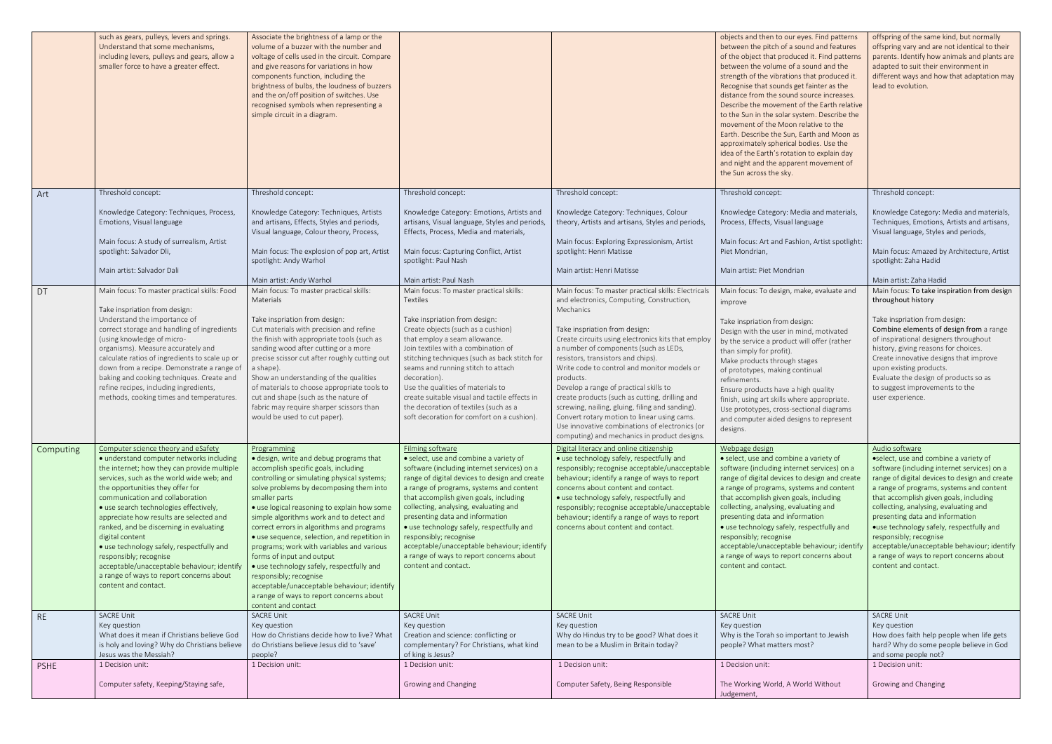|           | such as gears, pulleys, levers and springs.<br>Understand that some mechanisms,<br>including levers, pulleys and gears, allow a<br>smaller force to have a greater effect.                                                                                                                                                                                                                                                                                                                                                                               | Associate the brightness of a lamp or the<br>volume of a buzzer with the number and<br>voltage of cells used in the circuit. Compare<br>and give reasons for variations in how<br>components function, including the<br>brightness of bulbs, the loudness of buzzers<br>and the on/off position of switches. Use<br>recognised symbols when representing a<br>simple circuit in a diagram.                                                                                                                                                                                                                                                                           |                                                                                                                                                                                                                                                                                                                                                                                                                                                                                                                               |                                                                                                                                                                                                                                                                                                                                                                                                                                                                                                                                                                                                                                     | objects and then to our eyes. Find patterns<br>between the pitch of a sound and features<br>of the object that produced it. Find patterns<br>between the volume of a sound and the<br>strength of the vibrations that produced it.<br>Recognise that sounds get fainter as the<br>distance from the sound source increases.<br>Describe the movement of the Earth relative<br>to the Sun in the solar system. Describe the<br>movement of the Moon relative to the<br>Earth. Describe the Sun, Earth and Moon as<br>approximately spherical bodies. Use the<br>idea of the Earth's rotation to explain day<br>and night and the apparent movement of<br>the Sun across the sky. | offspring of the same kind, but normally<br>offspring vary and are not identical to their<br>parents. Identify how animals and plants are<br>adapted to suit their environment in<br>different ways and how that adaptation may<br>lead to evolution.                                                                                                                                                                                                                                              |
|-----------|----------------------------------------------------------------------------------------------------------------------------------------------------------------------------------------------------------------------------------------------------------------------------------------------------------------------------------------------------------------------------------------------------------------------------------------------------------------------------------------------------------------------------------------------------------|----------------------------------------------------------------------------------------------------------------------------------------------------------------------------------------------------------------------------------------------------------------------------------------------------------------------------------------------------------------------------------------------------------------------------------------------------------------------------------------------------------------------------------------------------------------------------------------------------------------------------------------------------------------------|-------------------------------------------------------------------------------------------------------------------------------------------------------------------------------------------------------------------------------------------------------------------------------------------------------------------------------------------------------------------------------------------------------------------------------------------------------------------------------------------------------------------------------|-------------------------------------------------------------------------------------------------------------------------------------------------------------------------------------------------------------------------------------------------------------------------------------------------------------------------------------------------------------------------------------------------------------------------------------------------------------------------------------------------------------------------------------------------------------------------------------------------------------------------------------|---------------------------------------------------------------------------------------------------------------------------------------------------------------------------------------------------------------------------------------------------------------------------------------------------------------------------------------------------------------------------------------------------------------------------------------------------------------------------------------------------------------------------------------------------------------------------------------------------------------------------------------------------------------------------------|----------------------------------------------------------------------------------------------------------------------------------------------------------------------------------------------------------------------------------------------------------------------------------------------------------------------------------------------------------------------------------------------------------------------------------------------------------------------------------------------------|
| Art       | Threshold concept:                                                                                                                                                                                                                                                                                                                                                                                                                                                                                                                                       | Threshold concept:                                                                                                                                                                                                                                                                                                                                                                                                                                                                                                                                                                                                                                                   | Threshold concept:                                                                                                                                                                                                                                                                                                                                                                                                                                                                                                            | Threshold concept:                                                                                                                                                                                                                                                                                                                                                                                                                                                                                                                                                                                                                  | Threshold concept:                                                                                                                                                                                                                                                                                                                                                                                                                                                                                                                                                                                                                                                              | Threshold concept:                                                                                                                                                                                                                                                                                                                                                                                                                                                                                 |
|           | Knowledge Category: Techniques, Process,<br>Emotions, Visual language<br>Main focus: A study of surrealism, Artist<br>spotlight: Salvador Dli,<br>Main artist: Salvador Dali                                                                                                                                                                                                                                                                                                                                                                             | Knowledge Category: Techniques, Artists<br>and artisans, Effects, Styles and periods,<br>Visual language, Colour theory, Process,<br>Main focus: The explosion of pop art, Artist<br>spotlight: Andy Warhol<br>Main artist: Andy Warhol                                                                                                                                                                                                                                                                                                                                                                                                                              | Knowledge Category: Emotions, Artists and<br>artisans, Visual language, Styles and periods,<br>Effects, Process, Media and materials,<br>Main focus: Capturing Conflict, Artist<br>spotlight: Paul Nash<br>Main artist: Paul Nash                                                                                                                                                                                                                                                                                             | Knowledge Category: Techniques, Colour<br>theory, Artists and artisans, Styles and periods,<br>Main focus: Exploring Expressionism, Artist<br>spotlight: Henri Matisse<br>Main artist: Henri Matisse                                                                                                                                                                                                                                                                                                                                                                                                                                | Knowledge Category: Media and materials,<br>Process, Effects, Visual language<br>Main focus: Art and Fashion, Artist spotlight:<br>Piet Mondrian,<br>Main artist: Piet Mondrian                                                                                                                                                                                                                                                                                                                                                                                                                                                                                                 | Knowledge Category: Media and materials,<br>Techniques, Emotions, Artists and artisans,<br>Visual language, Styles and periods,<br>Main focus: Amazed by Architecture, Artist<br>spotlight: Zaha Hadid<br>Main artist: Zaha Hadid                                                                                                                                                                                                                                                                  |
| DT        | Main focus: To master practical skills: Food                                                                                                                                                                                                                                                                                                                                                                                                                                                                                                             | Main focus: To master practical skills:                                                                                                                                                                                                                                                                                                                                                                                                                                                                                                                                                                                                                              | Main focus: To master practical skills:                                                                                                                                                                                                                                                                                                                                                                                                                                                                                       | Main focus: To master practical skills: Electricals                                                                                                                                                                                                                                                                                                                                                                                                                                                                                                                                                                                 | Main focus: To design, make, evaluate and                                                                                                                                                                                                                                                                                                                                                                                                                                                                                                                                                                                                                                       | Main focus: To take inspiration from design                                                                                                                                                                                                                                                                                                                                                                                                                                                        |
|           | Take inspriation from design:<br>Understand the importance of<br>correct storage and handling of ingredients<br>(using knowledge of micro-<br>organisms). Measure accurately and<br>calculate ratios of ingredients to scale up or<br>down from a recipe. Demonstrate a range of<br>baking and cooking techniques. Create and<br>refine recipes, including ingredients,<br>methods, cooking times and temperatures.<br>Computer science theory and eSafety                                                                                               | Materials<br>Take inspriation from design:<br>Cut materials with precision and refine<br>the finish with appropriate tools (such as<br>sanding wood after cutting or a more<br>precise scissor cut after roughly cutting out<br>a shape).<br>Show an understanding of the qualities<br>of materials to choose appropriate tools to<br>cut and shape (such as the nature of<br>fabric may require sharper scissors than<br>would be used to cut paper).                                                                                                                                                                                                               | Textiles<br>Take inspriation from design:<br>Create objects (such as a cushion)<br>that employ a seam allowance.<br>Join textiles with a combination of<br>stitching techniques (such as back stitch for<br>seams and running stitch to attach<br>decoration).<br>Use the qualities of materials to<br>create suitable visual and tactile effects in<br>the decoration of textiles (such as a<br>soft decoration for comfort on a cushion).                                                                                   | and electronics, Computing, Construction,<br>Mechanics<br>Take inspriation from design:<br>Create circuits using electronics kits that employ<br>a number of components (such as LEDs,<br>resistors, transistors and chips).<br>Write code to control and monitor models or<br>products.<br>Develop a range of practical skills to<br>create products (such as cutting, drilling and<br>screwing, nailing, gluing, filing and sanding).<br>Convert rotary motion to linear using cams.<br>Use innovative combinations of electronics (or<br>computing) and mechanics in product designs.<br>Digital literacy and online citizenship | improve<br>Take inspriation from design:<br>Design with the user in mind, motivated<br>by the service a product will offer (rather<br>than simply for profit).<br>Make products through stages<br>of prototypes, making continual<br>refinements.<br>Ensure products have a high quality<br>finish, using art skills where appropriate.<br>Use prototypes, cross-sectional diagrams<br>and computer aided designs to represent<br>designs.                                                                                                                                                                                                                                      | throughout history<br>Take inspriation from design:<br>Combine elements of design from a range<br>of inspirational designers throughout<br>history, giving reasons for choices.<br>Create innovative designs that improve<br>upon existing products.<br>Evaluate the design of products so as<br>to suggest improvements to the<br>user experience.<br>Audio software                                                                                                                              |
| Computing | · understand computer networks including<br>the internet; how they can provide multiple<br>services, such as the world wide web; and<br>the opportunities they offer for<br>communication and collaboration<br>· use search technologies effectively,<br>appreciate how results are selected and<br>ranked, and be discerning in evaluating<br>digital content<br>• use technology safely, respectfully and<br>responsibly; recognise<br>acceptable/unacceptable behaviour; identify<br>a range of ways to report concerns about<br>content and contact. | Programming<br>· design, write and debug programs that<br>accomplish specific goals, including<br>controlling or simulating physical systems;<br>solve problems by decomposing them into<br>smaller parts<br>• use logical reasoning to explain how some<br>simple algorithms work and to detect and<br>correct errors in algorithms and programs<br>• use sequence, selection, and repetition in<br>programs; work with variables and various<br>forms of input and output<br>• use technology safely, respectfully and<br>responsibly; recognise<br>acceptable/unacceptable behaviour; identify<br>a range of ways to report concerns about<br>content and contact | <b>Filming software</b><br>• select, use and combine a variety of<br>software (including internet services) on a<br>range of digital devices to design and create<br>a range of programs, systems and content<br>that accomplish given goals, including<br>collecting, analysing, evaluating and<br>presenting data and information<br>• use technology safely, respectfully and<br>responsibly; recognise<br>acceptable/unacceptable behaviour; identify<br>a range of ways to report concerns about<br>content and contact. | • use technology safely, respectfully and<br>responsibly; recognise acceptable/unacceptable<br>behaviour; identify a range of ways to report<br>concerns about content and contact.<br>• use technology safely, respectfully and<br>responsibly; recognise acceptable/unacceptable<br>behaviour; identify a range of ways to report<br>concerns about content and contact.                                                                                                                                                                                                                                                          | Webpage design<br>• select, use and combine a variety of<br>software (including internet services) on a<br>range of digital devices to design and create<br>a range of programs, systems and content<br>that accomplish given goals, including<br>collecting, analysing, evaluating and<br>presenting data and information<br>• use technology safely, respectfully and<br>responsibly; recognise<br>acceptable/unacceptable behaviour; identify<br>a range of ways to report concerns about<br>content and contact.                                                                                                                                                            | •select, use and combine a variety of<br>software (including internet services) on a<br>range of digital devices to design and create<br>a range of programs, systems and content<br>that accomplish given goals, including<br>collecting, analysing, evaluating and<br>presenting data and information<br>·use technology safely, respectfully and<br>responsibly; recognise<br>acceptable/unacceptable behaviour; identify  <br>a range of ways to report concerns about<br>content and contact. |
| RE        | <b>SACRE Unit</b><br>Key question<br>What does it mean if Christians believe God                                                                                                                                                                                                                                                                                                                                                                                                                                                                         | <b>SACRE Unit</b><br>Key question<br>How do Christians decide how to live? What                                                                                                                                                                                                                                                                                                                                                                                                                                                                                                                                                                                      | <b>SACRE Unit</b><br>Key question<br>Creation and science: conflicting or                                                                                                                                                                                                                                                                                                                                                                                                                                                     | <b>SACRE Unit</b><br>Key question<br>Why do Hindus try to be good? What does it                                                                                                                                                                                                                                                                                                                                                                                                                                                                                                                                                     | <b>SACRE Unit</b><br>Key question<br>Why is the Torah so important to Jewish                                                                                                                                                                                                                                                                                                                                                                                                                                                                                                                                                                                                    | <b>SACRE Unit</b><br>Key question<br>How does faith help people when life gets                                                                                                                                                                                                                                                                                                                                                                                                                     |
|           | is holy and loving? Why do Christians believe<br>Jesus was the Messiah?                                                                                                                                                                                                                                                                                                                                                                                                                                                                                  | do Christians believe Jesus did to 'save'<br>people?                                                                                                                                                                                                                                                                                                                                                                                                                                                                                                                                                                                                                 | complementary? For Christians, what kind<br>of king is Jesus?                                                                                                                                                                                                                                                                                                                                                                                                                                                                 | mean to be a Muslim in Britain today?                                                                                                                                                                                                                                                                                                                                                                                                                                                                                                                                                                                               | people? What matters most?                                                                                                                                                                                                                                                                                                                                                                                                                                                                                                                                                                                                                                                      | hard? Why do some people believe in God<br>and some people not?                                                                                                                                                                                                                                                                                                                                                                                                                                    |
| PSHE      | 1 Decision unit:<br>Computer safety, Keeping/Staying safe,                                                                                                                                                                                                                                                                                                                                                                                                                                                                                               | 1 Decision unit:                                                                                                                                                                                                                                                                                                                                                                                                                                                                                                                                                                                                                                                     | 1 Decision unit:<br>Growing and Changing                                                                                                                                                                                                                                                                                                                                                                                                                                                                                      | 1 Decision unit:<br>Computer Safety, Being Responsible                                                                                                                                                                                                                                                                                                                                                                                                                                                                                                                                                                              | 1 Decision unit:<br>The Working World, A World Without                                                                                                                                                                                                                                                                                                                                                                                                                                                                                                                                                                                                                          | 1 Decision unit:<br>Growing and Changing                                                                                                                                                                                                                                                                                                                                                                                                                                                           |
|           |                                                                                                                                                                                                                                                                                                                                                                                                                                                                                                                                                          |                                                                                                                                                                                                                                                                                                                                                                                                                                                                                                                                                                                                                                                                      |                                                                                                                                                                                                                                                                                                                                                                                                                                                                                                                               |                                                                                                                                                                                                                                                                                                                                                                                                                                                                                                                                                                                                                                     | Judgement,                                                                                                                                                                                                                                                                                                                                                                                                                                                                                                                                                                                                                                                                      |                                                                                                                                                                                                                                                                                                                                                                                                                                                                                                    |